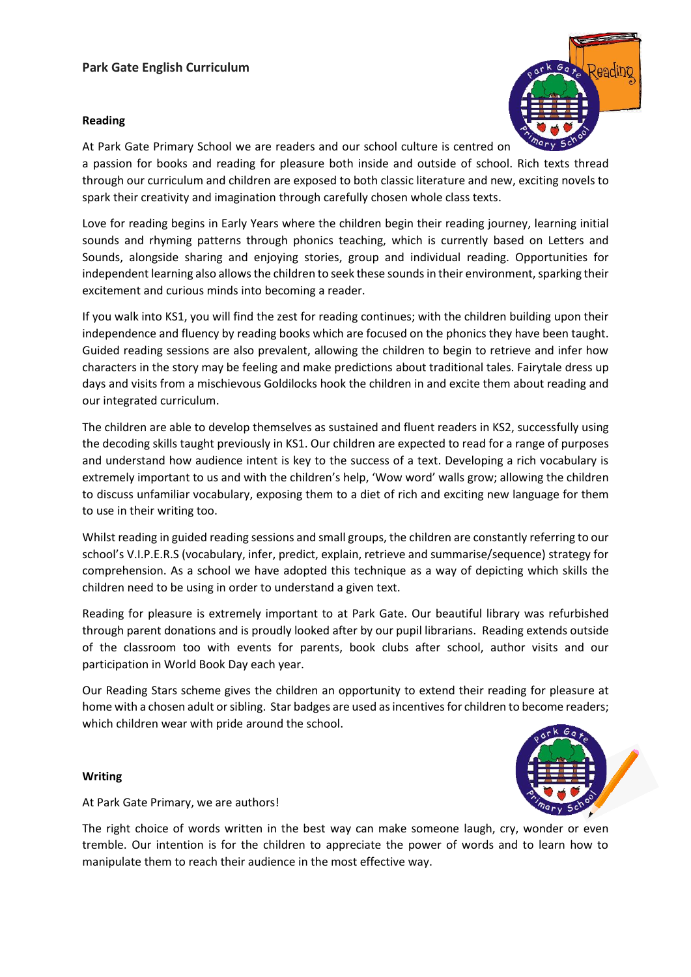## **Park Gate English Curriculum**

## **Reading**



At Park Gate Primary School we are readers and our school culture is centred on a passion for books and reading for pleasure both inside and outside of school. Rich texts thread through our curriculum and children are exposed to both classic literature and new, exciting novels to spark their creativity and imagination through carefully chosen whole class texts.

Love for reading begins in Early Years where the children begin their reading journey, learning initial sounds and rhyming patterns through phonics teaching, which is currently based on Letters and Sounds, alongside sharing and enjoying stories, group and individual reading. Opportunities for independent learning also allows the children to seek these sounds in their environment, sparking their excitement and curious minds into becoming a reader.

If you walk into KS1, you will find the zest for reading continues; with the children building upon their independence and fluency by reading books which are focused on the phonics they have been taught. Guided reading sessions are also prevalent, allowing the children to begin to retrieve and infer how characters in the story may be feeling and make predictions about traditional tales. Fairytale dress up days and visits from a mischievous Goldilocks hook the children in and excite them about reading and our integrated curriculum.

The children are able to develop themselves as sustained and fluent readers in KS2, successfully using the decoding skills taught previously in KS1. Our children are expected to read for a range of purposes and understand how audience intent is key to the success of a text. Developing a rich vocabulary is extremely important to us and with the children's help, 'Wow word' walls grow; allowing the children to discuss unfamiliar vocabulary, exposing them to a diet of rich and exciting new language for them to use in their writing too.

Whilst reading in guided reading sessions and small groups, the children are constantly referring to our school's V.I.P.E.R.S (vocabulary, infer, predict, explain, retrieve and summarise/sequence) strategy for comprehension. As a school we have adopted this technique as a way of depicting which skills the children need to be using in order to understand a given text.

Reading for pleasure is extremely important to at Park Gate. Our beautiful library was refurbished through parent donations and is proudly looked after by our pupil librarians. Reading extends outside of the classroom too with events for parents, book clubs after school, author visits and our participation in World Book Day each year.

Our Reading Stars scheme gives the children an opportunity to extend their reading for pleasure at home with a chosen adult or sibling. Star badges are used as incentives for children to become readers; which children wear with pride around the school.

## **Writing**

At Park Gate Primary, we are authors!

The right choice of words written in the best way can make someone laugh, cry, wonder or even tremble. Our intention is for the children to appreciate the power of words and to learn how to manipulate them to reach their audience in the most effective way.